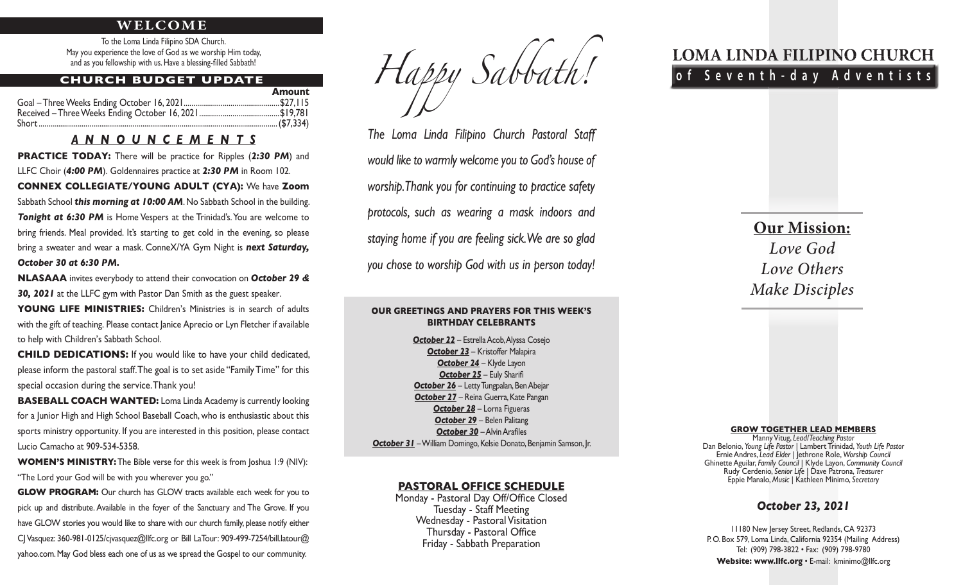#### **WELCOME**

To the Loma Linda Filipino SDA Church. May you experience the love of God as we worship Him today, and as you fellowship with us. Have a blessing-filled Sabbath!

#### **CHURCH BUDGET UPDATE**

| Amount |
|--------|
|        |
|        |
|        |

### *ANNOUNCEMENTS*

**PRACTICE TODAY:** There will be practice for Ripples (2:30 PM) and LLFC Choir (*4:00 PM*). Goldennaires practice at *2:30 PM* in Room 102. **CONNEX COLLEGIATE/YOUNG ADULT (CYA):** We have **Zoom**  Sabbath School *this morning at 10:00 AM*. No Sabbath School in the building. **Tonight at 6:30 PM** is Home Vespers at the Trinidad's. You are welcome to bring friends. Meal provided. It's starting to get cold in the evening, so please bring a sweater and wear a mask. ConneX/YA Gym Night is *next Saturday, October 30 at 6:30 PM.* 

**NLASAAA** invites everybody to attend their convocation on *October 29 & 30, 2021* at the LLFC gym with Pastor Dan Smith as the guest speaker.

YOUNG LIFE MINISTRIES: Children's Ministries is in search of adults with the gift of teaching. Please contact Janice Aprecio or Lyn Fletcher if available to help with Children's Sabbath School.

**CHILD DEDICATIONS:** If you would like to have your child dedicated, please inform the pastoral staff. The goal is to set aside "Family Time" for this special occasion during the service. Thank you!

**BASEBALL COACH WANTED:** Loma Linda Academy is currently looking for a Junior High and High School Baseball Coach, who is enthusiastic about this sports ministry opportunity. If you are interested in this position, please contact Lucio Camacho at 909-534-5358.

**WOMEN'S MINISTRY:** The Bible verse for this week is from Joshua 1:9 (NIV): "The Lord your God will be with you wherever you go."

**GLOW PROGRAM:** Our church has GLOW tracts available each week for you to pick up and distribute. Available in the foyer of the Sanctuary and The Grove. If you have GLOW stories you would like to share with our church family, please notify either CJ Vasquez: 360-981-0125/cjvasquez@llfc.org or Bill LaTour: 909-499-7254/bill.latour@ yahoo.com. May God bless each one of us as we spread the Gospel to our community.

*Happy Sabbath!*

*The Loma Linda Filipino Church Pastoral Staff would like to warmly welcome you to God's house of worship. Thank you for continuing to practice safety protocols, such as wearing a mask indoors and staying home if you are feeling sick. We are so glad you chose to worship God with us in person today!*

#### **OUR GREETINGS AND PRAYERS FOR THIS WEEK'S BIRTHDAY CELEBRANTS**

*October 22* – Estrella Acob, Alyssa Cosejo *October 23* – Kristoffer Malapira *October 24* – Klyde Layon *October 25* – Euly Sharifi **October 26** – Letty Tungpalan, Ben Abejar *October 27* – Reina Guerra, Kate Pangan *October 28* – Lorna Figueras *October 29* – Belen Palitang **October 30 – Alvin Arafiles** *October 31* – William Domingo, Kelsie Donato, Benjamin Samson, Jr.

#### **PASTORAL OFFICE SCHEDULE**

Monday - Pastoral Day Off/Office Closed Tuesday - Staff Meeting Wednesday - Pastoral Visitation Thursday - Pastoral Office Friday - Sabbath Preparation

# **LOMA LINDA FILIPINO CHURCH of Seventh-day Adventists**

**Our Mission:** *Love God Love Others Make Disciples*

#### **GROW TOGETHER LEAD MEMBERS**

Manny Vitug, *Lead/Teaching Pastor* Dan Belonio, *Young Life Pastor* | Lambert Trinidad, *Youth Life Pastor* Ernie Andres, *Lead Elder* | Jethrone Role, *Worship Council* Ghinette Aguilar, *Family Council* | Klyde Layon, *Community Council* Rudy Cerdenio, *Senior Life* | Dave Patrona, *Treasurer* Eppie Manalo, *Music* | Kathleen Minimo, *Secretary*

#### *October 23, 2021*

11180 New Jersey Street, Redlands, CA 92373 P. O. Box 579, Loma Linda, California 92354 (Mailing Address) Tel: (909) 798-3822 • Fax: (909) 798-9780 **Website: www.llfc.org** • E-mail: kminimo@llfc.org